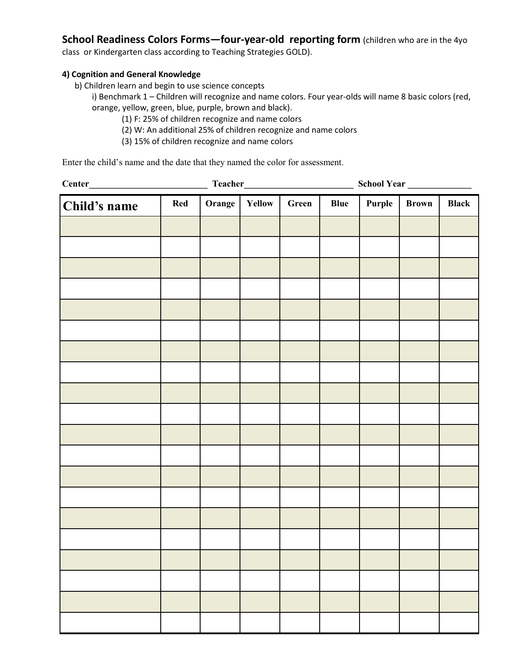**School Readiness Colors Forms-four-year-old reporting form (children who are in the 4yo** 

class or Kindergarten class according to Teaching Strategies GOLD).

#### **4) Cognition and General Knowledge**

b) Children learn and begin to use science concepts

i) Benchmark 1 – Children will recognize and name colors. Four year-olds will name 8 basic colors (red, orange, yellow, green, blue, purple, brown and black).

- (1) F: 25% of children recognize and name colors
- (2) W: An additional 25% of children recognize and name colors
- (3) 15% of children recognize and name colors

Enter the child's name and the date that they named the color for assessment.

|              | <u> 1980 - Jan Barat, martin da basar da basar da basar da basar da basar da basar da basar da basar da basar da</u> |        |        |       | School Year |        |              |              |
|--------------|----------------------------------------------------------------------------------------------------------------------|--------|--------|-------|-------------|--------|--------------|--------------|
| Child's name | Red                                                                                                                  | Orange | Yellow | Green | <b>Blue</b> | Purple | <b>Brown</b> | <b>Black</b> |
|              |                                                                                                                      |        |        |       |             |        |              |              |
|              |                                                                                                                      |        |        |       |             |        |              |              |
|              |                                                                                                                      |        |        |       |             |        |              |              |
|              |                                                                                                                      |        |        |       |             |        |              |              |
|              |                                                                                                                      |        |        |       |             |        |              |              |
|              |                                                                                                                      |        |        |       |             |        |              |              |
|              |                                                                                                                      |        |        |       |             |        |              |              |
|              |                                                                                                                      |        |        |       |             |        |              |              |
|              |                                                                                                                      |        |        |       |             |        |              |              |
|              |                                                                                                                      |        |        |       |             |        |              |              |
|              |                                                                                                                      |        |        |       |             |        |              |              |
|              |                                                                                                                      |        |        |       |             |        |              |              |
|              |                                                                                                                      |        |        |       |             |        |              |              |
|              |                                                                                                                      |        |        |       |             |        |              |              |
|              |                                                                                                                      |        |        |       |             |        |              |              |
|              |                                                                                                                      |        |        |       |             |        |              |              |
|              |                                                                                                                      |        |        |       |             |        |              |              |
|              |                                                                                                                      |        |        |       |             |        |              |              |
|              |                                                                                                                      |        |        |       |             |        |              |              |
|              |                                                                                                                      |        |        |       |             |        |              |              |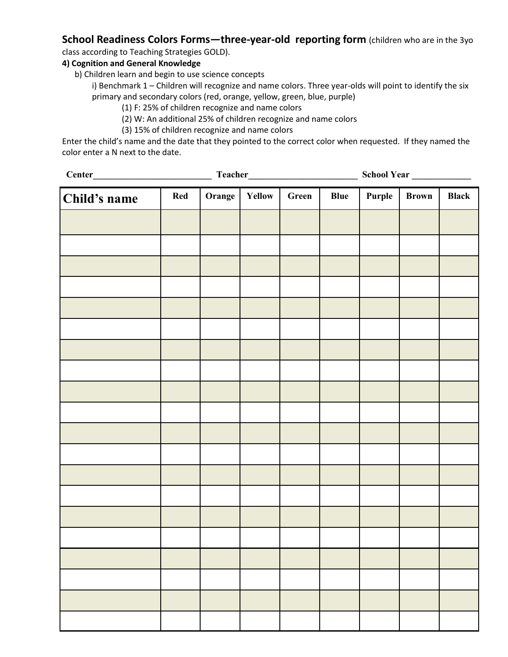# **School Readiness Colors Forms—three-year-old reporting form** (children who are in the 3yo

class according to Teaching Strategies GOLD).

### **4) Cognition and General Knowledge**

b) Children learn and begin to use science concepts

i) Benchmark 1 – Children will recognize and name colors. Three year-olds will point to identify the six primary and secondary colors (red, orange, yellow, green, blue, purple)

(1) F: 25% of children recognize and name colors

(2) W: An additional 25% of children recognize and name colors

(3) 15% of children recognize and name colors

Enter the child's name and the date that they pointed to the correct color when requested. If they named the color enter a N next to the date.

|              | Teacher_ |        |        |       | School Year |        |              |              |  |
|--------------|----------|--------|--------|-------|-------------|--------|--------------|--------------|--|
| Child's name | Red      | Orange | Yellow | Green | <b>Blue</b> | Purple | <b>Brown</b> | <b>Black</b> |  |
|              |          |        |        |       |             |        |              |              |  |
|              |          |        |        |       |             |        |              |              |  |
|              |          |        |        |       |             |        |              |              |  |
|              |          |        |        |       |             |        |              |              |  |
|              |          |        |        |       |             |        |              |              |  |
|              |          |        |        |       |             |        |              |              |  |
|              |          |        |        |       |             |        |              |              |  |
|              |          |        |        |       |             |        |              |              |  |
|              |          |        |        |       |             |        |              |              |  |
|              |          |        |        |       |             |        |              |              |  |
|              |          |        |        |       |             |        |              |              |  |
|              |          |        |        |       |             |        |              |              |  |
|              |          |        |        |       |             |        |              |              |  |
|              |          |        |        |       |             |        |              |              |  |
|              |          |        |        |       |             |        |              |              |  |
|              |          |        |        |       |             |        |              |              |  |
|              |          |        |        |       |             |        |              |              |  |
|              |          |        |        |       |             |        |              |              |  |
|              |          |        |        |       |             |        |              |              |  |
|              |          |        |        |       |             |        |              |              |  |